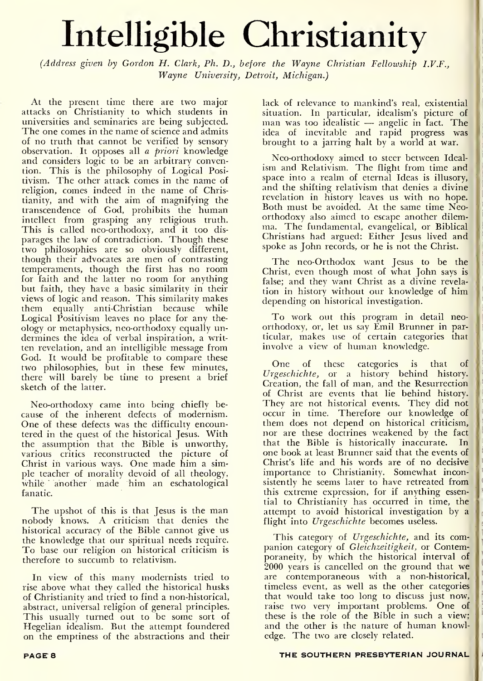## Intelligible Christianity

(Address given by Gordon H. Clark, Ph. D., before the Wayne Christian Fellowship I.V.F., Wayne University, Detroit, Michigan.)

At the present time there are two major attacks on Christianity to which students in universities and seminaries are being subjected. The one comes in the name of science and admits of no truth that cannot be verified by sensory observation. It opposes all a priori knowledge and considers logic to be an arbitrary convention. This is the philosophy of Logical Posi tivism. The other attack comes in the name of religion, comes indeed in the name of Christianity, and with the aim of magnifying the transcendence of God, prohibits the human intellect from grasping any religious truth. This is called neo-orthodoxy, and it too dis parages the law of contradiction. Though these two philosophies are so obviously different, though their advocates are men of contrasting temperaments, though the first has no room for faith and the latter no room for anything but faith, they have a basic similarity in their views of logic and reason. This similarity makes them equally anti-Christian because while Logical Positivism leaves no place for any the ology or metaphysics, neo-orthodoxy equally un dermines the idea of verbal inspiration, a writ ten revelation, and an intelligible message from God. It would be profitable to compare these two philosophies, but in these few minutes, there will barely be time to present a brief sketch of the latter.

Neo-orthodoxy came into being chiefly be cause of the inherent defects of modernism. One of these defects was the difficulty encountered in the quest of the historical Jesus. With the assumption that the Bible is unworthy, various critics reconstructed the picture of Christ in various ways. One made him a simple teacher of morality devoid of all theology, while another made him an eschatological fanatic.

The upshot of this is that Jesus is the man nobody knows. A criticism that denies the historical accuracy of the Bible cannot give us the knowledge that our spiritual needs require. To base our religion on historical criticism is therefore to succumb to relativism.

In view of this many modernists tried to rise above what they called the historical husks of Christianity and tried to find a non-historical, abstract, universal religion of general principles. This usually turned out to be some sort of Hegelian idealism. But the attempt foundered on the emptiness of the abstractions and their lack of relevance to mankind's real, existential situation. In particular, idealism's picture of situation. In particular, idealism's picture of the particular in the particular in the particular in the particular in the particular in the particular in the particular in the particular in the particular in the particul idea of inevitable and rapid progress was brought to a jarring halt by a world at war.

Neo-orthodoxy aimed to steer between Ideal ism and Relativism. The flight from time and space into a realm of eternal Ideas is illusory, and the shifting relativism that denies a divine revelation in history leaves us with no hope. Both must be avoided. At the same time Neoorthodoxy also aimed to escape another dilem ma. The fundamental, evangelical, or Biblical Christians had argued: Either Jesus lived and spoke as John records, or he is not the Christ.

The neo-Orthodox want Jesus to be the Christ, even though most of what John says is false; and they want Christ as a divine revela tion in history without our knowledge of him depending on historical investigation.

To work out this program in detail neo orthodoxy, or, let us say Emil Brunner in particular, makes use of certain categories that involve <sup>a</sup> view of human knowledge.

One of these categories is that of Urgeschichte, or a history behind history. Creation, the fall of man, and the Resurrection of Christ are events that lie behind history. They are not historical events. They did not occur in time. Therefore our knowledge of t them does not depend on historical criticism, nor are these doctrines weakened by the fact that the Bible is historically inaccurate. In one book at least Brunner said that the events of Christ's life and his words are of no decisive importance to Christianity. Somewhat inconsistently he seems later to have retreated from this extreme expression, for if anything essential to Christianity has occurred in time, the attempt to avoid historical investigation by a flight into Urgeschichte becomes useless.

This category of Urgeschichte, and its companion category of Gleichzeitigkeit, or Contemporaneity, by which the historical interval of 2000 years is cancelled on the ground that we are contemporaneous with a non-historical, timeless event, as well as the other categories that would take too long to discuss just now, raise two very important problems. One of these is the role of the Bible in such a view; and the other is the nature of human knowledge. The two are closely related.

## PAGE 8 THE SOUTHERN PRESBYTERIAN JOURNAL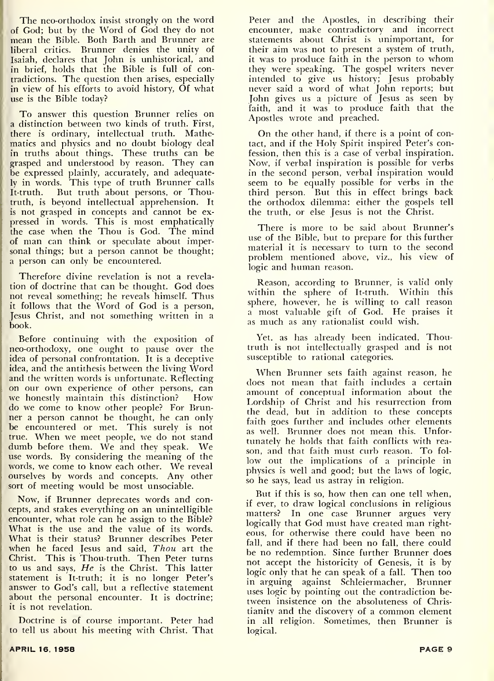The neo-orthodox insist strongly on the word of God; but by the Word of God they do not mean the Bible. Both Barth and Brunner are liberal critics. Brunner denies the unity of Isaiah, declares that John is unhistorical, and in brief, holds that the Bible is full of contradictions. The question then arises, especially in view of his efforts to avoid history, Of what use is the Bible today?

To answer this question Brunner relies on a distinction between two kinds of truth. First, there is ordinary, intellectual truth. Mathematics and physics and no doubt biology deal in truths about things. These truths can be grasped and understood by reason. They can be expressed plainly, accurately, and adequately in words. This type of truth Brunner calls<br>It-truth. But truth about persons, or Thou-But truth about persons, or Thoutruth, is beyond intellectual apprehension. It is not grasped in concepts and cannot be ex pressed in words. This is most emphatically the case when the Thou is God. The mind of man can think or speculate about impersonal things; but a person cannot be thought; a person can only be encountered.

Therefore divine revelation is not a revela tion of doctrine that can be thought. God does not reveal something; he reveals himself. Thus it follows that the Word of God is <sup>a</sup> person, Jesus Christ, and not something written in a book.

Before continuing with the exposition of neo-orthodoxy, one ought to pause over the idea of personal confrontation. It is a deceptive idea, and the antithesis between the living Word and the written words is unfortunate. Reflecting on our own experience of other persons, can<br>we honestly maintain this distinction? How we honestly maintain this distinction? do we come to know other people? For Brunner a person cannot be thought, he can only be encountered or met. This surely is not true. When we meet people, we do not stand dumb before them. We and they speak. We use words. By considering the meaning of the words, we come to know each other. We reveal ourselves by words and concepts. Any other sort of meeting would be most unsociable.

Now, if Brunner deprecates words and concepts, and stakes everything on an unintelligible encounter, what role can he assign to the Bible? What is the use and the value of its words. What is their status? Brunner describes Peter when he faced Jesus and said, Thou art the Christ. This is Thou-truth. Then Peter turns to us and says, He is the Christ. This latter statement is It-truth; it is no longer Peter's answer to God's call, but a reflective statement about the personal encounter. It is doctrine; it is not revelation.

Doctrine is of course important. Peter had to tell us about his meeting with Christ. That

Peter and the Apostles, in describing their encounter, make contradictory and incorrect statements about Christ is unimportant, for their aim was not to present a system of truth, it was to produce faith in the person to whom they were speaking. The gospel writers never intended to give us history; Jesus probably never said a word of what John reports; but John gives us a picture of Jesus as seen by faith, and it was to produce faith that the Apostles wrote and preached.

On the other hand, if there is <sup>a</sup> point of contact, and if the Holy Spirit inspired Peter's confession, then this is a case of verbal inspiration. Now, if verbal inspiration is possible for verbs in the second person, verbal inspiration would seem to be equally possible for verbs in the third person. But this in effect brings back the orthodox dilemma: either the gospels tell the truth, or else Jesus is not the Christ.

There is more to be said about Brunner's use of the Bible, but to prepare for this further material it is necessary to turn to the second problem mentioned above, viz., his view of logic and human reason.

Reason, according to Brunner, is valid only within the sphere of It-truth. Within this sphere, however, he is willing to call reason <sup>a</sup> most valuable gift of God. He praises it as much as any rationalist could wish.

Yet. as has already been indicated, Thoutruth is not intellectually grasped and is not susceptible to rational categories.

When Brunner sets faith against reason, he does not mean that faith includes <sup>a</sup> certain amount of conceptual information about the Lordship of Christ and his resurrection from the dead, but in addition to these concepts faith goes further and includes other elements as well. Brunner does not mean this. Unfortunately he holds that faith conflicts with rea son, and that faith must curb reason. To fol low out the implications of a principle in physics is well and good; but the laws of logic, so he says, lead us astray in religion.

But if this is so, how then can one tell when, if ever, to draw logical conclusions in religious matters? In one case Brunner argues very logically that God must have created man righteous, for otherwise there could have been no fall, and if there had been no fall, there could be no redemption. Since further Brunner does not accept the historicity of Genesis, it is by logic only that he can speak of <sup>a</sup> fall. Then too in arguing against Schleiermacher, Brunner uses logic by pointing out the contradiction between insistence on the absoluteness of Christianity and the discovery of <sup>a</sup> common element in all religion. Sometimes, then Brunner is logical.